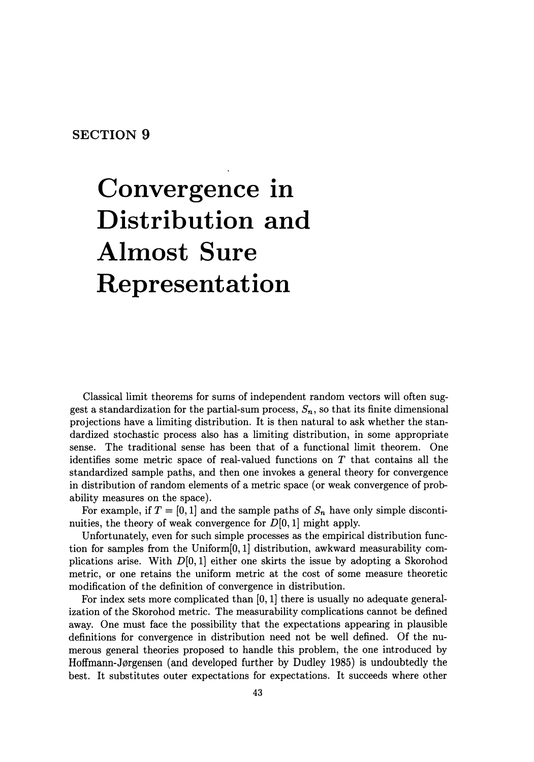## **SECTION 9**

## **Convergence in Distribution and Almost Sure Representation**

Classical limit theorems for sums of independent random vectors will often suggest a standardization for the partial-sum process,  $S_n$ , so that its finite dimensional projections have a limiting distribution. It is then natural to ask whether the standardized stochastic process also has a limiting distribution, in some appropriate sense. The traditional sense has been that of a functional limit theorem. One identifies some metric space of real-valued functions on  $T$  that contains all the standardized sample paths, and then one invokes a general theory for convergence in distribution of random elements of a metric space (or weak convergence of probability measures on the space).

For example, if  $T = [0, 1]$  and the sample paths of  $S_n$  have only simple discontinuities, the theory of weak convergence for  $D[0, 1]$  might apply.

Unfortunately, even for such simple processes as the empirical distribution function for samples from the Uniform[O, 1] distribution, awkward measurability complications arise. With  $D[0, 1]$  either one skirts the issue by adopting a Skorohod metric, or one retains the uniform metric at the cost of some measure theoretic modification of the definition of convergence in distribution.

For index sets more complicated than  $[0, 1]$  there is usually no adequate generalization of the Skorohod metric. The measurability complications cannot be defined away. One must face the possibility that the expectations appearing in plausible definitions for convergence in distribution need not be well defined. Of the numerous general theories proposed to handle this problem, the one introduced by Hoffmann-J0rgensen (and developed further by Dudley 1985) is undoubtedly the best. It substitutes outer expectations for expectations. It succeeds where other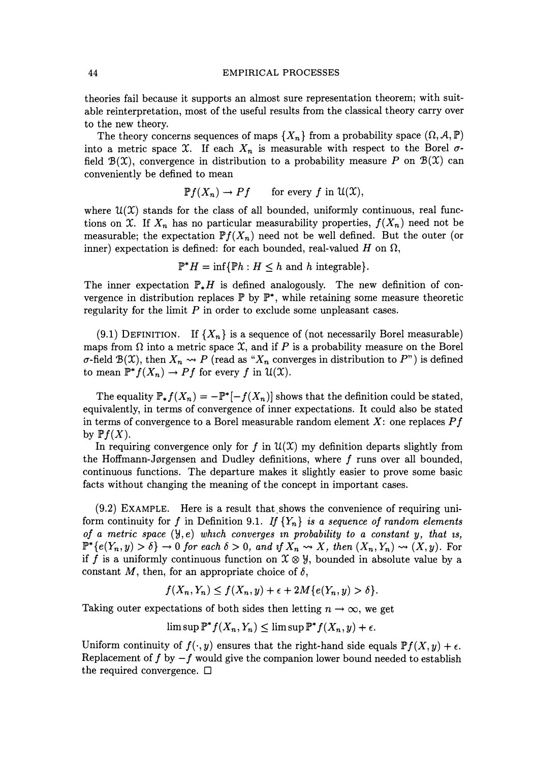## 44 EMPIRICAL PROCESSES

theories fail because it supports an almost sure representation theorem; with suitable reinterpretation, most of the useful results from the classical theory carry over to the new theory.

The theory concerns sequences of maps  ${X_n}$  from a probability space  $(\Omega, \mathcal{A}, \mathbb{P})$ into a metric space X. If each  $X_n$  is measurable with respect to the Borel  $\sigma$ field  $\mathcal{B}(\mathcal{X})$ , convergence in distribution to a probability measure *P* on  $\mathcal{B}(\mathcal{X})$  can conveniently be defined to mean

$$
\mathbb{P}f(X_n) \to Pf \quad \text{for every } f \text{ in } \mathcal{U}(\mathfrak{X}),
$$

where  $\mathcal{U}(\mathcal{X})$  stands for the class of all bounded, uniformly continuous, real functions on X. If  $X_n$  has no particular measurability properties,  $f(X_n)$  need not be measurable; the expectation  $\mathbb{P}f(X_n)$  need not be well defined. But the outer (or inner) expectation is defined: for each bounded, real-valued H on  $\Omega$ ,

 $\mathbb{P}^* H = \inf \{ \mathbb{P} h : H \leq h \text{ and } h \text{ integrable} \}.$ 

The inner expectation  $\mathbb{P}_{*}H$  is defined analogously. The new definition of convergence in distribution replaces  $\mathbb{P}$  by  $\mathbb{P}^*$ , while retaining some measure theoretic regularity for the limit *P* in order to exclude some unpleasant cases.

(9.1) DEFINITION. If  ${X_n}$  is a sequence of (not necessarily Borel measurable) maps from  $\Omega$  into a metric space  $\mathfrak X$ , and if P is a probability measure on the Borel  $\sigma$ -field  $\mathcal{B}(\mathcal{X})$ , then  $X_n \rightsquigarrow P$  (read as " $X_n$  converges in distribution to  $P$ ") is defined to mean  $\mathbb{P}^* f(X_n) \to Pf$  for every *f* in  $\mathcal{U}(\mathcal{X})$ .

The equality  $\mathbb{P}_*f(X_n) = -\mathbb{P}^*[-f(X_n)]$  shows that the definition could be stated, equivalently, in terms of convergence of inner expectations. It could also be stated in terms of convergence to a Borel measurable random element *X:* one replaces *P* f by  $Pf(X)$ .

In requiring convergence only for f in  $\mathcal{U}(\mathcal{X})$  my definition departs slightly from the Hoffmann-Jørgensen and Dudley definitions, where  $f$  runs over all bounded, continuous functions. The departure makes it slightly easier to prove some basic facts without changing the meaning of the concept in important cases.

 $(9.2)$  EXAMPLE. Here is a result that shows the convenience of requiring uniform continuity for f in Definition 9.1. If  ${Y_n}$  *is a sequence of random elements of a metric space*  $(\forall, e)$  *which converges in probability to a constant y, that is,*  $P^*{e(Y_n, y) > \delta} \rightarrow 0$  *for each*  $\delta > 0$ *, and if*  $X_n \rightsquigarrow X$ *, then*  $(X_n, Y_n) \rightsquigarrow (X, y)$ *.* For if f is a uniformly continuous function on  $\mathfrak{X} \otimes \mathfrak{Y}$ , bounded in absolute value by a constant  $M$ , then, for an appropriate choice of  $\delta$ ,

$$
f(X_n, Y_n) \le f(X_n, y) + \epsilon + 2M\{e(Y_n, y) > \delta\}.
$$

Taking outer expectations of both sides then letting  $n \to \infty$ , we get

 $\limsup \mathbb{P}^* f(X_n, Y_n) \leq \limsup \mathbb{P}^* f(X_n, y) + \epsilon.$ 

Uniform continuity of  $f(\cdot,y)$  ensures that the right-hand side equals  $Pf(X,y) + \epsilon$ . Replacement of f by  $-f$  would give the companion lower bound needed to establish the required convergence.  $\Box$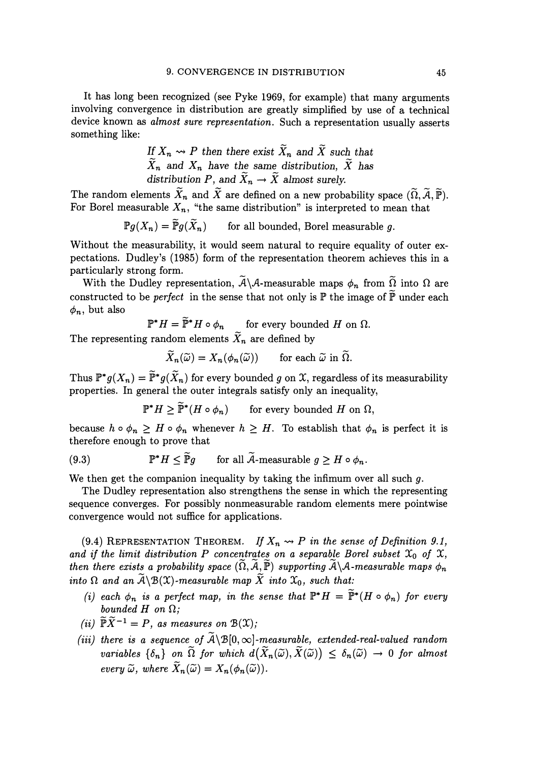It has long been recognized (see Pyke 1969, for example) that many arguments involving convergence in distribution are greatly simplified by use of a technical device known as *almost sure representation.* Such a representation usually asserts something like:

If 
$$
X_n \leadsto P
$$
 then there exist  $\widetilde{X}_n$  and  $\widetilde{X}$  such that  $\widetilde{X}_n$  and  $X_n$  have the same distribution,  $\widetilde{X}$  has distribution  $P$ , and  $\widetilde{X}_n \rightarrow \widetilde{X}$  almost surely.

The random elements  $\widetilde{X}_n$  and  $\widetilde{X}$  are defined on a new probability space  $(\widetilde{\Omega}, \widetilde{\mathcal{A}}, \widetilde{\mathbb{P}})$ . For Borel measurable  $X_n$ , "the same distribution" is interpreted to mean that

> $\mathbb{P}q(X_n) = \widetilde{\mathbb{P}}q(\widetilde{X}_n)$ for all bounded, Borel measurable g.

Without the measurability, it would seem natural to require equality of outer expectations. Dudley's (1985) form of the representation theorem achieves this in a particularly strong form.

With the Dudley representation,  $\widetilde{A} \setminus A$ -measurable maps  $\phi_n$  from  $\widetilde{\Omega}$  into  $\Omega$  are constructed to be *perfect* in the sense that not only is  $\mathbb P$  the image of  $\widetilde{\mathbb P}$  under each  $\phi_n$ , but also

$$
\mathbb{P}^* H = \tilde{\mathbb{P}}^* H \circ \phi_n \quad \text{for every bounded } H \text{ on } \Omega.
$$

The representing random elements  $\widetilde{X}_n$  are defined by

$$
\widetilde{X}_n(\widetilde{\omega}) = X_n(\phi_n(\widetilde{\omega})) \quad \text{for each } \widetilde{\omega} \text{ in } \widetilde{\Omega}.
$$

Thus  $\mathbb{P}^*g(X_n) = \tilde{\mathbb{P}}^*g(\tilde{X}_n)$  for every bounded *g* on *X*, regardless of its measurability properties. In general the outer integrals satisfy only an inequality,

$$
\mathbb{P}^* H \ge \widetilde{\mathbb{P}}^*(H \circ \phi_n) \qquad \text{for every bounded } H \text{ on } \Omega,
$$

because  $h \circ \phi_n \geq H \circ \phi_n$  whenever  $h \geq H$ . To establish that  $\phi_n$  is perfect it is therefore enough to prove that

(9.3) 
$$
\mathbb{P}^* H \leq \tilde{\mathbb{P}}g \quad \text{for all } A \text{-measurable } g \geq H \circ \phi_n.
$$

We then get the companion inequality by taking the infimum over all such  $g$ .

The Dudley representation also strengthens the sense in which the representing sequence converges. For possibly nonmeasurable random elements mere pointwise convergence would not suffice for applications.

(9.4) REPRESENTATION THEOREM. *If*  $X_n \rightarrow P$  *in the sense of Definition 9.1,* and if the limit distribution P concentrates on a separable Borel subset  $\mathfrak{X}_0$  of  $\mathfrak{X}$ , *then there exists a probability space*  $(\widetilde{\Omega}, \widetilde{A}, \widetilde{\mathbb{P}})$  *supporting*  $\widetilde{A} \setminus A$ -measurable maps  $\phi_n$ *into*  $\Omega$  *and an*  $\widetilde{A} \backslash B(\mathfrak{X})$ -measurable map  $\widetilde{X}$  *into*  $\mathfrak{X}_0$ *, such that:* 

- *(i) each*  $\phi_n$  *is a perfect map, in the sense that*  $\mathbb{P}^* H = \tilde{\mathbb{P}}^*(H \circ \phi_n)$  *for every*  $bounded$   $H$   $on$   $\Omega$ ;
- *(ii)*  $\widetilde{\mathbb{P}} \widetilde{X}^{-1} = P$ , *as measures on*  $\mathcal{B}(\mathfrak{X})$ ;
- *(iii) there is a sequence of*  $\widetilde{A} \setminus B[0, \infty]$ -measurable, extended-real-valued random *variables*  $\{\delta_n\}$  *on*  $\tilde{\Omega}$  *for which*  $d(\tilde{X}_n(\tilde{\omega}), \tilde{X}(\tilde{\omega})) \leq \delta_n(\tilde{\omega}) \to 0$  *for almost every*  $\widetilde{\omega}$ *, where*  $\widetilde{X}_n(\widetilde{\omega}) = X_n(\phi_n(\widetilde{\omega}))$ *.*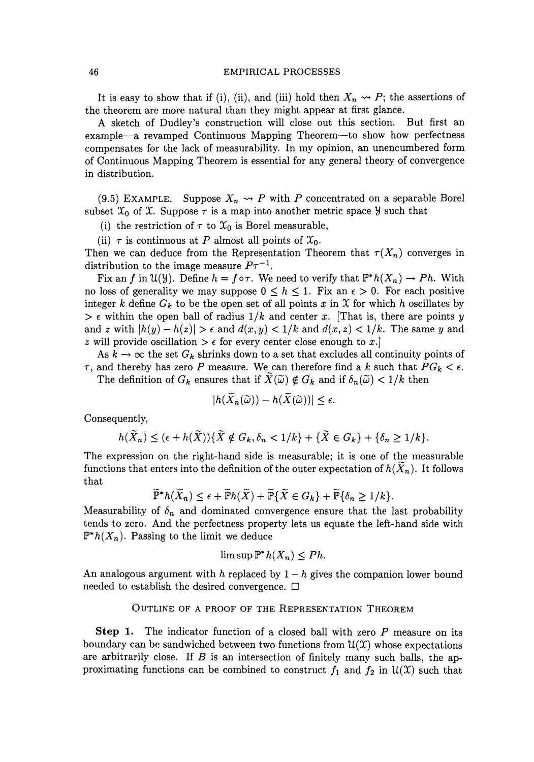## 46 EMPIRICAL PROCESSES

It is easy to show that if (i), (ii), and (iii) hold then  $X_n \rightarrow P$ ; the assertions of the theorem are more natural than they might appear at first glance.

A sketch of Dudley's construction will close out this section. But first an example--a revamped Continuous Mapping Theorem--to show how perfectness compensates for the lack of measurability. In my opinion, an unencumbered form of Continuous Mapping Theorem is essential for any general theory of convergence in distribution.

(9.5) EXAMPLE. Suppose  $X_n \rightarrow P$  with *P* concentrated on a separable Borel subset  $\mathfrak{X}_0$  of  $\mathfrak{X}$ . Suppose  $\tau$  is a map into another metric space  $\mathcal{Y}$  such that

(i) the restriction of  $\tau$  to  $\mathfrak{X}_0$  is Borel measurable,

(ii)  $\tau$  is continuous at P almost all points of  $\mathfrak{X}_0$ .

Then we can deduce from the Representation Theorem that  $\tau(X_n)$  converges in distribution to the image measure  $P\tau^{-1}$ .

Fix an f in  $\mathfrak{U}(\mathcal{Y})$ . Define  $h = f \circ \tau$ . We need to verify that  $\mathbb{P}^*h(X_n) \to Ph$ . With no loss of generality we may suppose  $0 \leq h \leq 1$ . Fix an  $\epsilon > 0$ . For each positive integer k define  $G_k$  to be the open set of all points x in X for which h oscillates by  $\geq \epsilon$  within the open ball of radius  $1/k$  and center *x*. [That is, there are points *y* and z with  $|h(y)-h(z)| > \epsilon$  and  $d(x, y) < 1/k$  and  $d(x, z) < 1/k$ . The same y and *z* will provide oscillation  $\geq \epsilon$  for every center close enough to *x*.

As  $k \to \infty$  the set  $G_k$  shrinks down to a set that excludes all continuity points of  $\tau$ , and thereby has zero P measure. We can therefore find a k such that  $PG_k < \epsilon$ . The definition of  $G_k$  ensures that if  $\widetilde{X}(\widetilde{\omega}) \notin G_k$  and if  $\delta_n(\widetilde{\omega}) < 1/k$  then

$$
|h(\widetilde{X}_n(\widetilde{\omega})) - h(\widetilde{X}(\widetilde{\omega}))| \leq \epsilon.
$$

Consequently,

$$
h(\widetilde{X}_n) \leq (\epsilon + h(\widetilde{X}))\{\widetilde{X} \notin G_k, \delta_n < 1/k\} + \{\widetilde{X} \in G_k\} + \{\delta_n \geq 1/k\}.
$$

The expression on the right-hand side is measurable; it is one of the measurable functions that enters into the definition of the outer expectation of  $h(X_n)$ . It follows that

$$
\widetilde{\mathbb{P}}^*h(\widetilde{X}_n) \leq \epsilon + \widetilde{\mathbb{P}}h(\widetilde{X}) + \widetilde{\mathbb{P}}\{\widetilde{X} \in G_k\} + \widetilde{\mathbb{P}}\{\delta_n \geq 1/k\}.
$$

Measurability of  $\delta_n$  and dominated convergence ensure that the last probability tends to zero. And the perfectness property lets us equate the left-hand side with  $\mathbb{P}^*h(X_n)$ . Passing to the limit we deduce

$$
\limsup \mathbb{P}^* h(X_n) \le P h.
$$

An analogous argument with h replaced by  $1-h$  gives the companion lower bound needed to establish the desired convergence.  $\Box$ 

OUTLINE OF A PROOF OF THE REPRESENTATION THEOREM

**Step 1.** The indicator function of a closed ball with zero *P* measure on its boundary can be sandwiched between two functions from  $\mathfrak{U}(\mathfrak{X})$  whose expectations are arbitrarily close. If *B* is an intersection of finitely many such balls, the approximating functions can be combined to construct  $f_1$  and  $f_2$  in  $\mathcal{U}(\mathcal{X})$  such that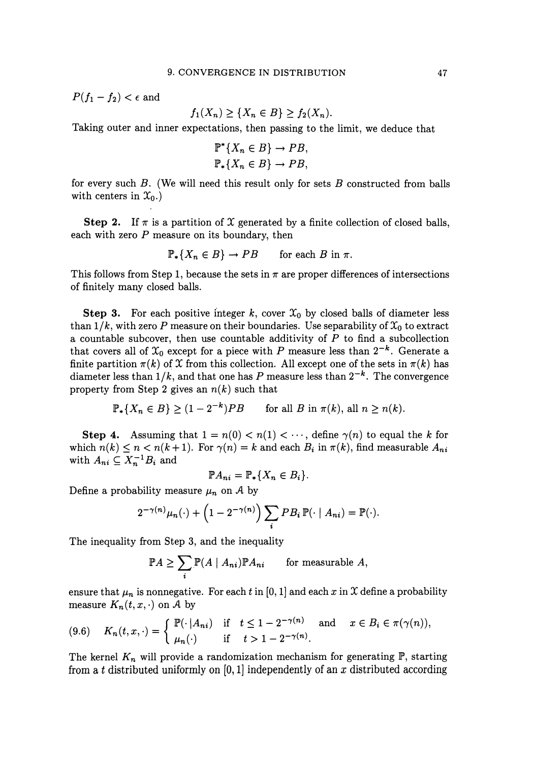$P(f_1 - f_2) < \epsilon$  and

$$
f_1(X_n) \geq \{X_n \in B\} \geq f_2(X_n).
$$

Taking outer and inner expectations, then passing to the limit, we deduce that

$$
\mathbb{P}^*\{X_n \in B\} \to PB,
$$
  

$$
\mathbb{P}_*\{X_n \in B\} \to PB,
$$

for every such *B.* (We will need this result only for sets *B* constructed from balls with centers in  $\mathfrak{X}_0$ .)

**Step 2.** If  $\pi$  is a partition of X generated by a finite collection of closed balls, each with zero *P* measure on its boundary, then

$$
\mathbb{P}_*\{X_n \in B\} \to PB \quad \text{for each } B \text{ in } \pi.
$$

This follows from Step 1, because the sets in  $\pi$  are proper differences of intersections of finitely many closed balls.

**Step 3.** For each positive integer k, cover  $\mathcal{X}_0$  by closed balls of diameter less than  $1/k$ , with zero P measure on their boundaries. Use separability of  $\mathfrak{X}_0$  to extract a countable subcover, then use countable additivity of *P* to find a subcollection that covers all of  $\mathfrak{X}_0$  except for a piece with P measure less than  $2^{-k}$ . Generate a finite partition  $\pi(k)$  of X from this collection. All except one of the sets in  $\pi(k)$  has diameter less than  $1/k$ , and that one has P measure less than  $2^{-k}$ . The convergence property from Step 2 gives an  $n(k)$  such that

$$
\mathbb{P}_*\{X_n \in B\} \ge (1 - 2^{-k})PB \quad \text{for all } B \text{ in } \pi(k), \text{ all } n \ge n(k).
$$

**Step 4.** Assuming that  $1 = n(0) < n(1) < \cdots$ , define  $\gamma(n)$  to equal the k for which  $n(k) \leq n < n(k+1)$ . For  $\gamma(n) = k$  and each  $B_i$  in  $\pi(k)$ , find measurable  $A_{ni}$ with  $A_{ni} \subseteq X_n^{-1}B_i$  and

$$
\mathbb{P} A_{ni} = \mathbb{P}_* \{ X_n \in B_i \}.
$$

Define a probability measure  $\mu_n$  on A by

$$
2^{-\gamma(n)}\mu_n(\cdot)+\left(1-2^{-\gamma(n)}\right)\sum_i PB_i \,\mathbb{P}(\cdot \mid A_{ni})=\mathbb{P}(\cdot).
$$

The inequality from Step 3, and the inequality

$$
\mathbb{P}A \ge \sum_{i} \mathbb{P}(A \mid A_{ni}) \mathbb{P}A_{ni} \quad \text{for measurable } A,
$$

ensure that  $\mu_n$  is nonnegative. For each t in  $[0, 1]$  and each x in X define a probability measure  $K_n(t, x, \cdot)$  on A by

$$
(9.6) \quad K_n(t,x,\cdot) = \begin{cases} \mathbb{P}(\cdot | A_{ni}) & \text{if } t \le 1 - 2^{-\gamma(n)} \quad \text{and} \quad x \in B_i \in \pi(\gamma(n)), \\ \mu_n(\cdot) & \text{if } t > 1 - 2^{-\gamma(n)}. \end{cases}
$$

The kernel  $K_n$  will provide a randomization mechanism for generating  $\mathbb{P}$ , starting from at distributed uniformly on [0, **1]** independently of an *x* distributed according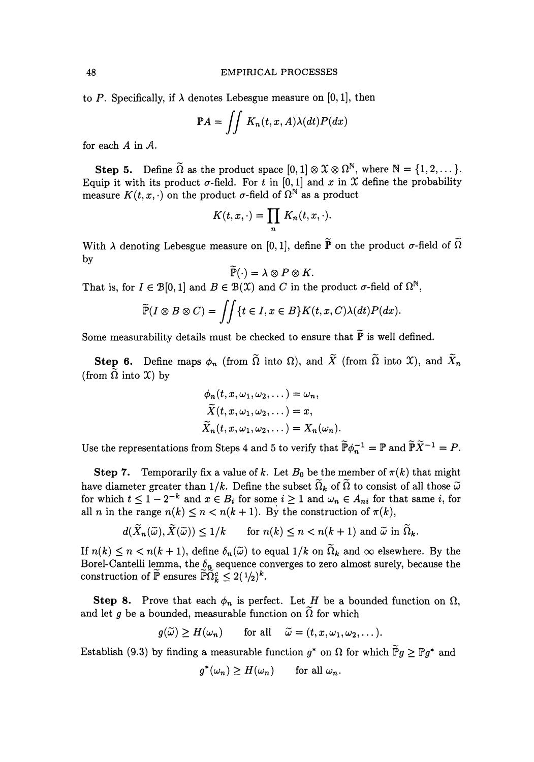to *P*. Specifically, if  $\lambda$  denotes Lebesgue measure on [0, 1], then

$$
\mathbb{P}A = \iint K_n(t, x, A) \lambda(dt) P(dx)
$$

for each *A* in *A.* 

**Step 5.** Define  $\widetilde{\Omega}$  as the product space  $[0, 1] \otimes \mathfrak{X} \otimes \Omega^{\mathbb{N}}$ , where  $\mathbb{N} = \{1, 2, \dots\}$ . Equip it with its product  $\sigma$ -field. For t in [0, 1] and x in X define the probability measure  $K(t, x, \cdot)$  on the product  $\sigma$ -field of  $\Omega^{\mathbb{N}}$  as a product

$$
K(t,x,\cdot)=\prod_n K_n(t,x,\cdot).
$$

With  $\lambda$  denoting Lebesgue measure on [0,1], define  $\widetilde{\mathbb{P}}$  on the product  $\sigma$ -field of  $\widetilde{\Omega}$ by

$$
\widetilde{\mathbb{P}}(\cdot) = \lambda \otimes P \otimes K.
$$

That is, for  $I \in \mathcal{B}[0,1]$  and  $B \in \mathcal{B}(\mathcal{X})$  and C in the product  $\sigma$ -field of  $\Omega^{\mathbb{N}}$ ,

$$
\widetilde{\mathbb{P}}(I\otimes B\otimes C)=\iint\{t\in I, x\in B\}K(t,x,C)\lambda(dt)P(dx).
$$

Some measurability details must be checked to ensure that  $\widetilde{P}$  is well defined.

Step 6. Define maps  $\phi_n$  (from  $\tilde{\Omega}$  into  $\Omega$ ), and  $\tilde{X}$  (from  $\tilde{\Omega}$  into  $\mathfrak{X}$ ), and  $\tilde{X}_n$ (from  $\Omega$  into  $\mathfrak{X}$ ) by

$$
\phi_n(t, x, \omega_1, \omega_2, \dots) = \omega_n,
$$
  
\n
$$
\widetilde{X}(t, x, \omega_1, \omega_2, \dots) = x,
$$
  
\n
$$
\widetilde{X}_n(t, x, \omega_1, \omega_2, \dots) = X_n(\omega_n).
$$

Use the representations from Steps 4 and 5 to verify that  $\widetilde{\mathbb{P}}\phi_n^{-1} = \mathbb{P}$  and  $\widetilde{\mathbb{P}}\widetilde{X}^{-1} = P$ .

**Step 7.** Temporarily fix a value of k. Let  $B_0$  be the member of  $\pi(k)$  that might have diameter greater than  $1/k$ . Define the subset  $\widetilde{\Omega}_k$  of  $\widetilde{\Omega}$  to consist of all those  $\widetilde{\omega}$ for which  $t \leq 1 - 2^{-k}$  and  $x \in B_i$  for some  $i \geq 1$  and  $\omega_n \in A_{ni}$  for that same *i*, for all *n* in the range  $n(k) \le n < n(k+1)$ . By the construction of  $\pi(k)$ ,

$$
d(\widetilde{X}_n(\widetilde{\omega}), \widetilde{X}(\widetilde{\omega})) \le 1/k \qquad \text{for } n(k) \le n < n(k+1) \text{ and } \widetilde{\omega} \text{ in } \widetilde{\Omega}_k.
$$

If  $n(k) \leq n < n(k+1)$ , define  $\delta_n(\tilde{\omega})$  to equal  $1/k$  on  $\tilde{\Omega}_k$  and  $\infty$  elsewhere. By the Borel-Cantelli lemma, the  $\delta_n$  sequence converges to zero almost surely, because the construction of  $\tilde{P}$  ensures  $\tilde{P}\Omega_k^c \leq 2(\frac{1}{2})^k$ .

**Step 8.** Prove that each  $\phi_n$  is perfect. Let H be a bounded function on  $\Omega$ , and let g be a bounded, measurable function on  $\Omega$  for which

$$
g(\widetilde{\omega}) \ge H(\omega_n)
$$
 for all  $\widetilde{\omega} = (t, x, \omega_1, \omega_2, \dots).$ 

Establish (9.3) by finding a measurable function  $g^*$  on  $\Omega$  for which  $\widetilde{P}g > \mathbb{P}g^*$  and

$$
g^*(\omega_n) \ge H(\omega_n) \quad \text{for all } \omega_n.
$$